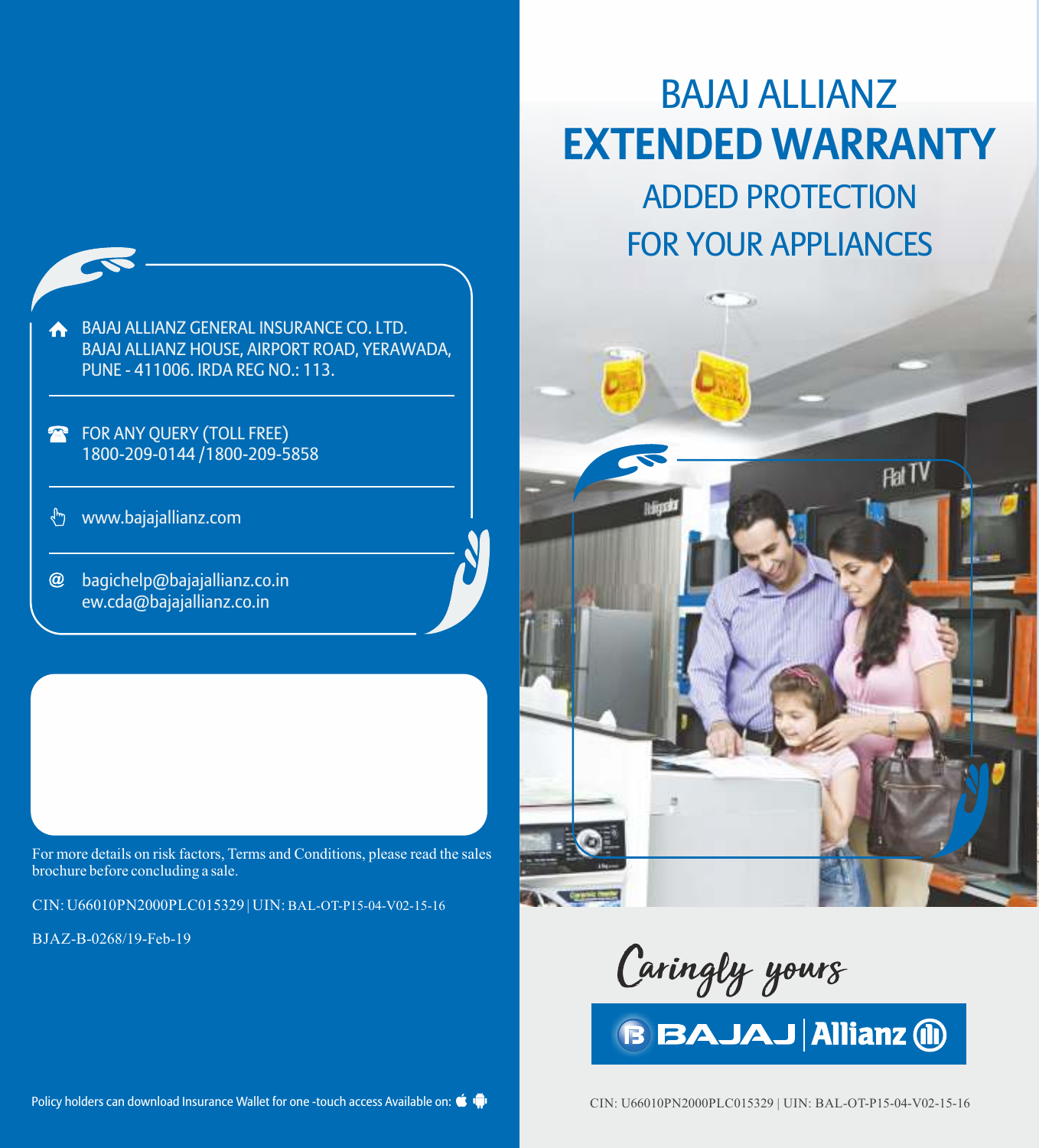

- FOR ANY QUERY (TOLL FREE)  $\mathbf{R}$ 1800-209-0144 /1800-209-5858
- www.bajajallianz.com ᢤᡃ
- $\omega$ bagichelp@bajajallianz.co.in ew.cda@bajajallianz.co.in

For more details on risk factors, Terms and Conditions, please read the sales brochure before concluding a sale.

CIN: U66010PN2000PLC015329 | UIN: BAL-OT-P15-04-V02-15-16

BJAZ-B-0268/19-Feb-19

# BAJAJ ALLIANZ **EXTENDED WARRANTY**

ADDED PROTECTION FOR YOUR APPLIANCES



Caringly yours

Policy holders can download Insurance Wallet for one -touch access Available on:  $\bullet$ 

CIN: U66010PN2000PLC015329 | UIN: BAL-OT-P15-04-V02-15-16

**BBAJAJ Allianz (ii)**